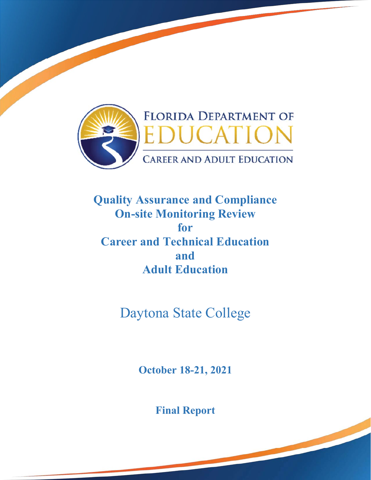

**Quality Assurance and Compliance On-site Monitoring Review for Career and Technical Education and Adult Education** 

Daytona State College

**October 18-21, 2021** 

**Final Report**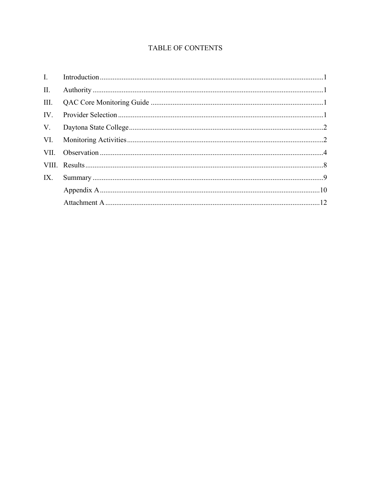# TABLE OF CONTENTS

| II.  |  |
|------|--|
| III. |  |
| IV.  |  |
|      |  |
|      |  |
|      |  |
|      |  |
| IX.  |  |
|      |  |
|      |  |
|      |  |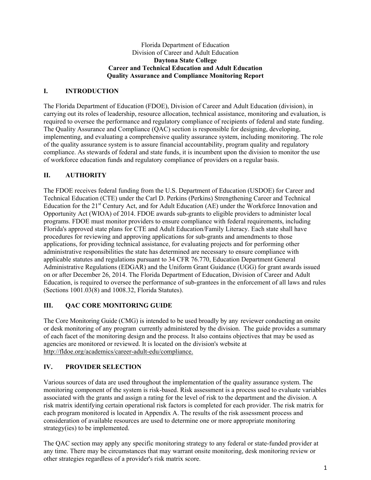### Florida Department of Education Division of Career and Adult Education **Daytona State College Career and Technical Education and Adult Education Quality Assurance and Compliance Monitoring Report**

# **I. INTRODUCTION**

 required to oversee the performance and regulatory compliance of recipients of federal and state funding. The Florida Department of Education (FDOE), Division of Career and Adult Education (division), in carrying out its roles of leadership, resource allocation, technical assistance, monitoring and evaluation, is The Quality Assurance and Compliance (QAC) section is responsible for designing, developing, implementing, and evaluating a comprehensive quality assurance system, including monitoring. The role of the quality assurance system is to assure financial accountability, program quality and regulatory compliance. As stewards of federal and state funds, it is incumbent upon the division to monitor the use of workforce education funds and regulatory compliance of providers on a regular basis.

# **II. AUTHORITY**

The FDOE receives federal funding from the U.S. Department of Education (USDOE) for Career and Technical Education (CTE) under the Carl D. Perkins (Perkins) Strengthening Career and Technical Education for the 21st Century Act, and for Adult Education (AE) under the Workforce Innovation and Opportunity Act (WIOA) of 2014. FDOE awards sub-grants to eligible providers to administer local programs. FDOE must monitor providers to ensure compliance with federal requirements, including Florida's approved state plans for CTE and Adult Education/Family Literacy. Each state shall have procedures for reviewing and approving applications for sub-grants and amendments to those applications, for providing technical assistance, for evaluating projects and for performing other administrative responsibilities the state has determined are necessary to ensure compliance with applicable statutes and regulations pursuant to 34 CFR 76.770, Education Department General Administrative Regulations (EDGAR) and the Uniform Grant Guidance (UGG) for grant awards issued on or after December 26, 2014. The Florida Department of Education, Division of Career and Adult Education, is required to oversee the performance of sub-grantees in the enforcement of all laws and rules (Sections 1001.03(8) and 1008.32, Florida Statutes).

# **III. QAC CORE MONITORING GUIDE**

 The Core Monitoring Guide (CMG) is intended to be used broadly by any reviewer conducting an onsite or desk monitoring of any program currently administered by the division. The guide provides a summary of each facet of the monitoring design and the process. It also contains objectives that may be used as agencies are monitored or reviewed. It is located on the division's website at http://fldoe.org/academics/career-adult-edu/compliance.

# **IV. PROVIDER SELECTION**

Various sources of data are used throughout the implementation of the quality assurance system. The monitoring component of the system is risk-based. Risk assessment is a process used to evaluate variables associated with the grants and assign a rating for the level of risk to the department and the division. A risk matrix identifying certain operational risk factors is completed for each provider. The risk matrix for each program monitored is located in Appendix A. The results of the risk assessment process and consideration of available resources are used to determine one or more appropriate monitoring strategy(ies) to be implemented.

 The QAC section may apply any specific monitoring strategy to any federal or state-funded provider at any time. There may be circumstances that may warrant onsite monitoring, desk monitoring review or other strategies regardless of a provider's risk matrix score.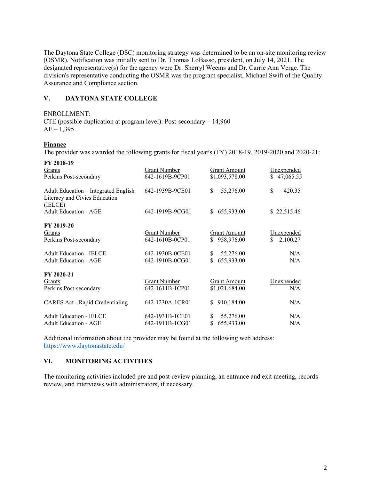The Daytona State College (DSC) monitoring strategy was determined to be an on-site monitoring review (OSMR). Notification was initially sent to Dr. Thomas LoBasso, president, on July 14, 2021. The designated representative(s) for the agency were Dr. Sherryl Weems and Dr. Carrie Ann Verge. The division's representative conducting the OSMR was the program specialist, Michael Swift of the Quality Assurance and Compliance section.

# **V. DAYTONA STATE COLLEGE**

ENROLLMENT:

CTE (possible duplication at program level): Post-secondary – 14,960  $AE - 1,395$ 

## **Finance**

The provider was awarded the following grants for fiscal year's (FY) 2018-19, 2019-2020 and 2020-21:

| FY 2018-19                                                                       |                     |                     |                |
|----------------------------------------------------------------------------------|---------------------|---------------------|----------------|
| Grants                                                                           | <b>Grant Number</b> | <b>Grant Amount</b> | Unexpended     |
| Perkins Post-secondary                                                           | 642-1619B-9CP01     | \$1,093,578.00      | \$47,065.55    |
| Adult Education – Integrated English<br>Literacy and Civics Education<br>(IELCE) | 642-1939B-9CE01     | \$<br>55,276.00     | \$<br>420.35   |
| <b>Adult Education - AGE</b>                                                     | 642-1919B-9CG01     | \$<br>655,933.00    | \$22,515.46    |
| FY 2019-20                                                                       |                     |                     |                |
| Grants                                                                           | <b>Grant Number</b> | <b>Grant Amount</b> | Unexpended     |
| Perkins Post-secondary                                                           | 642-1610B-0CP01     | \$958,976.00        | 2,100.27<br>S. |
| <b>Adult Education - IELCE</b>                                                   | 642-1930B-0CE01     | \$<br>55,276.00     | N/A            |
| <b>Adult Education - AGE</b>                                                     | 642-1910B-0CG01     | 655,933.00          | N/A            |
| FY 2020-21                                                                       |                     |                     |                |
| Grants                                                                           | <b>Grant Number</b> | <b>Grant Amount</b> | Unexpended     |
| Perkins Post-secondary                                                           | 642-1611B-1CP01     | \$1,021,684.00      | N/A            |
| <b>CARES Act - Rapid Credentialing</b>                                           | 642-1230A-1CR01     | 910,184.00<br>S.    | N/A            |
| <b>Adult Education - IELCE</b>                                                   | 642-1931B-1CE01     | \$<br>55,276.00     | N/A            |
| <b>Adult Education - AGE</b>                                                     | 642-1911B-1CG01     | \$<br>655,933.00    | N/A            |

 https://www.daytonastate.edu/ Additional information about the provider may be found at the following web address:

## **VI. MONITORING ACTIVITIES**

 review, and interviews with administrators, if necessary. The monitoring activities included pre and post-review planning, an entrance and exit meeting, records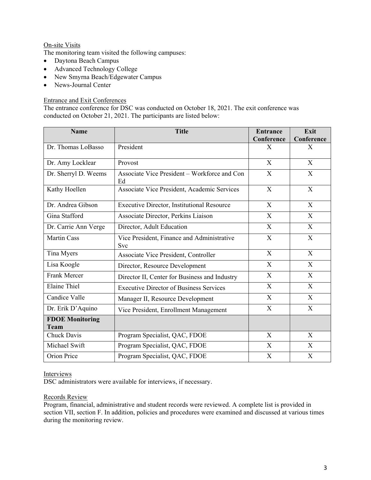# On-site Visits

The monitoring team visited the following campuses:

- Daytona Beach Campus
- Advanced Technology College
- New Smyrna Beach/Edgewater Campus
- News-Journal Center

# Entrance and Exit Conferences

The entrance conference for DSC was conducted on October 18, 2021. The exit conference was conducted on October 21, 2021. The participants are listed below:

| <b>Name</b>                           | <b>Title</b>                                             | <b>Entrance</b>           | Exit         |
|---------------------------------------|----------------------------------------------------------|---------------------------|--------------|
|                                       |                                                          | Conference                | Conference   |
| Dr. Thomas LoBasso                    | President                                                | X                         | $\mathbf{X}$ |
| Dr. Amy Locklear                      | Provost                                                  | $\mathbf{X}$              | $\mathbf{X}$ |
| Dr. Sherryl D. Weems                  | Associate Vice President - Workforce and Con<br>Ed       | X                         | X            |
| Kathy Hoellen                         | Associate Vice President, Academic Services              | X                         | $\mathbf{X}$ |
| Dr. Andrea Gibson                     | <b>Executive Director, Institutional Resource</b>        | X                         | $\mathbf{X}$ |
| Gina Stafford                         | Associate Director, Perkins Liaison                      | X                         | $\mathbf{X}$ |
| Dr. Carrie Ann Verge                  | Director, Adult Education                                | X                         | X            |
| <b>Martin Cass</b>                    | Vice President, Finance and Administrative<br><b>Svc</b> | X                         | X            |
| Tina Myers                            | Associate Vice President, Controller                     | X                         | X            |
| Lisa Koogle                           | Director, Resource Development                           | X                         | $\mathbf{X}$ |
| Frank Mercer                          | Director II, Center for Business and Industry            | X                         | X            |
| <b>Elaine Thiel</b>                   | <b>Executive Director of Business Services</b>           | X                         | X            |
| Candice Valle                         | Manager II, Resource Development                         | $\boldsymbol{\mathrm{X}}$ | X            |
| Dr. Erik D'Aquino                     | Vice President, Enrollment Management                    | X                         | $\mathbf{X}$ |
| <b>FDOE Monitoring</b><br><b>Team</b> |                                                          |                           |              |
| <b>Chuck Davis</b>                    | Program Specialist, QAC, FDOE                            | X                         | X            |
| Michael Swift                         | Program Specialist, QAC, FDOE                            | $\boldsymbol{\mathrm{X}}$ | X            |
| Orion Price                           | Program Specialist, QAC, FDOE                            | X                         | X            |

#### Interviews

DSC administrators were available for interviews, if necessary.

## Records Review

Program, financial, administrative and student records were reviewed. A complete list is provided in section VII, section F. In addition, policies and procedures were examined and discussed at various times during the monitoring review.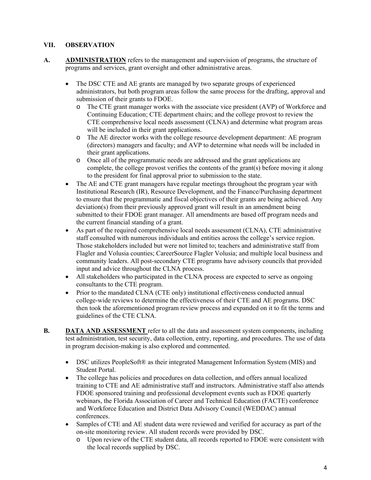# **VII. OBSERVATION**

- **A. ADMINISTRATION** refers to the management and supervision of programs, the structure of programs and services, grant oversight and other administrative areas.
	- The DSC CTE and AE grants are managed by two separate groups of experienced administrators, but both program areas follow the same process for the drafting, approval and submission of their grants to FDOE.
		- o The CTE grant manager works with the associate vice president (AVP) of Workforce and Continuing Education; CTE department chairs; and the college provost to review the CTE comprehensive local needs assessment (CLNA) and determine what program areas will be included in their grant applications.
		- o The AE director works with the college resource development department: AE program (directors) managers and faculty; and AVP to determine what needs will be included in their grant applications.
		- o Once all of the programmatic needs are addressed and the grant applications are complete, the college provost verifies the contents of the grant(s) before moving it along to the president for final approval prior to submission to the state.
	- The AE and CTE grant managers have regular meetings throughout the program year with Institutional Research (IR), Resource Development, and the Finance/Purchasing department to ensure that the programmatic and fiscal objectives of their grants are being achieved. Any deviation(s) from their previously approved grant will result in an amendment being submitted to their FDOE grant manager. All amendments are based off program needs and the current financial standing of a grant.
	- As part of the required comprehensive local needs assessment (CLNA), CTE administrative staff consulted with numerous individuals and entities across the college's service region. Those stakeholders included but were not limited to; teachers and administrative staff from Flagler and Volusia counties; CareerSource Flagler Volusia; and multiple local business and community leaders. All post-secondary CTE programs have advisory councils that provided input and advice throughout the CLNA process.
	- All stakeholders who participated in the CLNA process are expected to serve as ongoing consultants to the CTE program.
	- Prior to the mandated CLNA (CTE only) institutional effectiveness conducted annual college-wide reviews to determine the effectiveness of their CTE and AE programs. DSC then took the aforementioned program review process and expanded on it to fit the terms and guidelines of the CTE CLNA.
- **B. DATA AND ASSESSMENT** refer to all the data and assessment system components, including test administration, test security, data collection, entry, reporting, and procedures. The use of data in program decision-making is also explored and commented.
	- DSC utilizes PeopleSoft® as their integrated Management Information System (MIS) and Student Portal.
	- The college has policies and procedures on data collection, and offers annual localized training to CTE and AE administrative staff and instructors. Administrative staff also attends FDOE sponsored training and professional development events such as FDOE quarterly webinars, the Florida Association of Career and Technical Education (FACTE) conference and Workforce Education and District Data Advisory Council (WEDDAC) annual conferences.
	- Samples of CTE and AE student data were reviewed and verified for accuracy as part of the on-site monitoring review. All student records were provided by DSC.
		- o Upon review of the CTE student data, all records reported to FDOE were consistent with the local records supplied by DSC.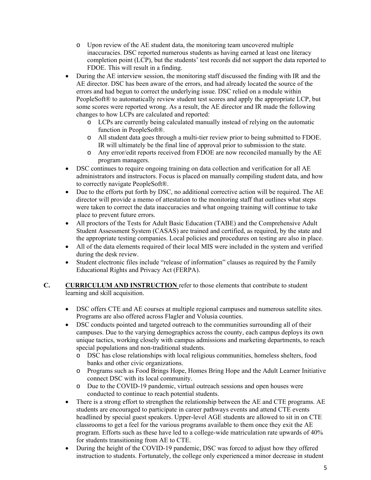- $\circ$  Upon review of the AE student data, the monitoring team uncovered multiple inaccuracies. DSC reported numerous students as having earned at least one literacy completion point (LCP), but the students' test records did not support the data reported to FDOE. This will result in a finding.
- During the AE interview session, the monitoring staff discussed the finding with IR and the AE director. DSC has been aware of the errors, and had already located the source of the errors and had begun to correct the underlying issue. DSC relied on a module within PeopleSoft® to automatically review student test scores and apply the appropriate LCP, but some scores were reported wrong. As a result, the AE director and IR made the following changes to how LCPs are calculated and reported:
	- $\circ$  LCPs are currently being calculated manually instead of relying on the automatic function in PeopleSoft®.
	- o All student data goes through a multi-tier review prior to being submitted to FDOE. IR will ultimately be the final line of approval prior to submission to the state.
	- o Any error/edit reports received from FDOE are now reconciled manually by the AE program managers.
- DSC continues to require ongoing training on data collection and verification for all AE administrators and instructors. Focus is placed on manually compiling student data, and how to correctly navigate PeopleSoft®.
- Due to the efforts put forth by DSC, no additional corrective action will be required. The AE director will provide a memo of attestation to the monitoring staff that outlines what steps were taken to correct the data inaccuracies and what ongoing training will continue to take place to prevent future errors.
- All proctors of the Tests for Adult Basic Education (TABE) and the Comprehensive Adult Student Assessment System (CASAS) are trained and certified, as required, by the state and the appropriate testing companies. Local policies and procedures on testing are also in place.
- All of the data elements required of their local MIS were included in the system and verified during the desk review.
- Student electronic files include "release of information" clauses as required by the Family Educational Rights and Privacy Act (FERPA).
- **C.** CURRICULUM AND INSTRUCTION refer to those elements that contribute to student learning and skill acquisition.
	- DSC offers CTE and AE courses at multiple regional campuses and numerous satellite sites. Programs are also offered across Flagler and Volusia counties.
	- DSC conducts pointed and targeted outreach to the communities surrounding all of their campuses. Due to the varying demographics across the county, each campus deploys its own unique tactics, working closely with campus admissions and marketing departments, to reach special populations and non-traditional students.
		- o DSC has close relationships with local religious communities, homeless shelters, food banks and other civic organizations.
		- o Programs such as Food Brings Hope, Homes Bring Hope and the Adult Learner Initiative connect DSC with its local community.
		- o Due to the COVID-19 pandemic, virtual outreach sessions and open houses were conducted to continue to reach potential students.
	- There is a strong effort to strengthen the relationship between the AE and CTE programs. AE students are encouraged to participate in career pathways events and attend CTE events headlined by special guest speakers. Upper-level AGE students are allowed to sit in on CTE classrooms to get a feel for the various programs available to them once they exit the AE program. Efforts such as these have led to a college-wide matriculation rate upwards of 40% for students transitioning from AE to CTE.
	- During the height of the COVID-19 pandemic, DSC was forced to adjust how they offered instruction to students. Fortunately, the college only experienced a minor decrease in student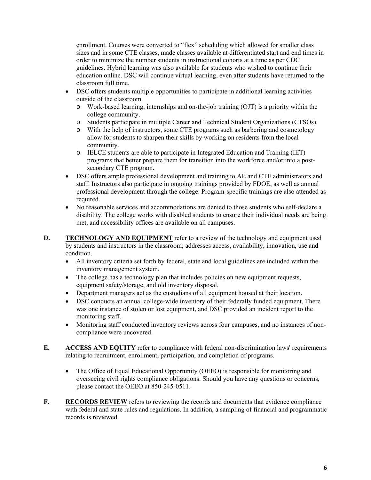enrollment. Courses were converted to "flex" scheduling which allowed for smaller class sizes and in some CTE classes, made classes available at differentiated start and end times in order to minimize the number students in instructional cohorts at a time as per CDC guidelines. Hybrid learning was also available for students who wished to continue their education online. DSC will continue virtual learning, even after students have returned to the classroom full time.

- outside of the classroom. DSC offers students multiple opportunities to participate in additional learning activities
	- o Work-based learning, internships and on-the-job training (OJT) is a priority within the college community.
	- o Students participate in multiple Career and Technical Student Organizations (CTSOs).
	- o With the help of instructors, some CTE programs such as barbering and cosmetology allow for students to sharpen their skills by working on residents from the local community.
	- o IELCE students are able to participate in Integrated Education and Training (IET) programs that better prepare them for transition into the workforce and/or into a postsecondary CTE program.
- DSC offers ample professional development and training to AE and CTE administrators and staff. Instructors also participate in ongoing trainings provided by FDOE, as well as annual professional development through the college. Program-specific trainings are also attended as required.
- No reasonable services and accommodations are denied to those students who self-declare a disability. The college works with disabled students to ensure their individual needs are being met, and accessibility offices are available on all campuses.
- **D.** TECHNOLOGY AND EQUIPMENT refer to a review of the technology and equipment used by students and instructors in the classroom; addresses access, availability, innovation, use and condition.
	- inventory management system. All inventory criteria set forth by federal, state and local guidelines are included within the
	- The college has a technology plan that includes policies on new equipment requests, equipment safety/storage, and old inventory disposal.
	- Department managers act as the custodians of all equipment housed at their location.
	- DSC conducts an annual college-wide inventory of their federally funded equipment. There was one instance of stolen or lost equipment, and DSC provided an incident report to the monitoring staff.
	- Monitoring staff conducted inventory reviews across four campuses, and no instances of noncompliance were uncovered.
- **E.** ACCESS AND EQUITY refer to compliance with federal non-discrimination laws' requirements relating to recruitment, enrollment, participation, and completion of programs.
	- The Office of Equal Educational Opportunity (OEEO) is responsible for monitoring and overseeing civil rights compliance obligations. Should you have any questions or concerns, please contact the OEEO at 850-245-0511.
- **F. RECORDS REVIEW** refers to reviewing the records and documents that evidence compliance with federal and state rules and regulations. In addition, a sampling of financial and programmatic records is reviewed.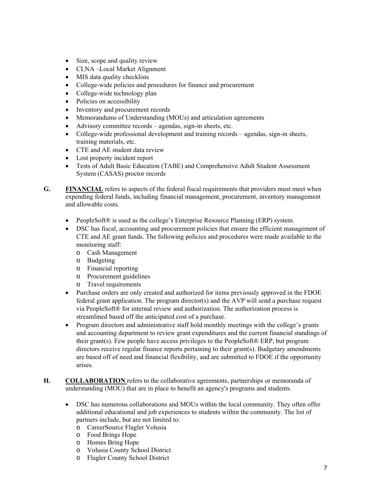- Size, scope and quality review
- CLNA –Local Market Alignment
- MIS data quality checklists
- College-wide policies and procedures for finance and procurement
- College-wide technology plan
- Policies on accessibility
- Inventory and procurement records
- Memorandums of Understanding (MOUs) and articulation agreements
- Advisory committee records agendas, sign-in sheets, etc.
- College-wide professional development and training records agendas, sign-in sheets, training materials, etc.
- CTE and AE student data review
- Lost property incident report
- Tests of Adult Basic Education (TABE) and Comprehensive Adult Student Assessment System (CASAS) proctor records
- **G. FINANCIAL** refers to aspects of the federal fiscal requirements that providers must meet when expending federal funds, including financial management, procurement, inventory management and allowable costs.
	- PeopleSoft® is used as the college's Enterprise Resource Planning (ERP) system.
	- DSC has fiscal, accounting and procurement policies that ensure the efficient management of CTE and AE grant funds. The following policies and procedures were made available to the monitoring staff:
		- o Cash Management
		- o Budgeting
		- o Financial reporting
		- o Procurement guidelines
		- o Travel requirements
	- Purchase orders are only created and authorized for items previously approved in the FDOE federal grant application. The program director(s) and the AVP will send a purchase request via PeopleSoft® for internal review and authorization. The authorization process is streamlined based off the anticipated cost of a purchase.
	- Program directors and administrative staff hold monthly meetings with the college's grants and accounting department to review grant expenditures and the current financial standings of their grant(s). Few people have access privileges to the PeopleSoft® ERP, but program directors receive regular finance reports pertaining to their grant(s). Budgetary amendments are based off of need and financial flexibility, and are submitted to FDOE if the opportunity arises.
- **H. COLLABORATION** refers to the collaborative agreements, partnerships or memoranda of understanding (MOU) that are in place to benefit an agency's programs and students.
	- DSC has numerous collaborations and MOUs within the local community. They often offer additional educational and job experiences to students within the community. The list of partners include, but are not limited to:
		- o CareerSource Flagler Volusia
		- o Food Brings Hope
		- o Homes Bring Hope
		- o Volusia County School District
		- o Flagler County School District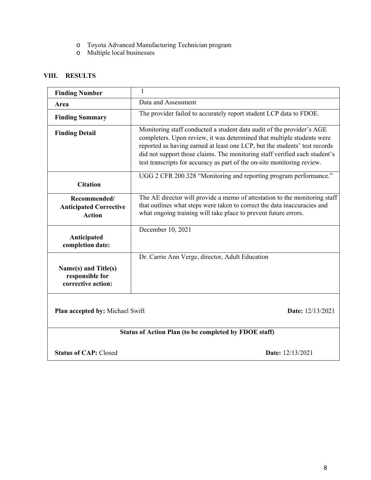- o Toyota Advanced Manufacturing Technician program
- o Multiple local businesses

# **VIII. RESULTS**

| <b>Finding Number</b>                                          | 1                                                                                                                                                                                                                                                                                                                                                                                      |  |  |  |
|----------------------------------------------------------------|----------------------------------------------------------------------------------------------------------------------------------------------------------------------------------------------------------------------------------------------------------------------------------------------------------------------------------------------------------------------------------------|--|--|--|
| Area                                                           | Data and Assessment                                                                                                                                                                                                                                                                                                                                                                    |  |  |  |
| <b>Finding Summary</b>                                         | The provider failed to accurately report student LCP data to FDOE.                                                                                                                                                                                                                                                                                                                     |  |  |  |
| <b>Finding Detail</b>                                          | Monitoring staff conducted a student data audit of the provider's AGE<br>completers. Upon review, it was determined that multiple students were<br>reported as having earned at least one LCP, but the students' test records<br>did not support those claims. The monitoring staff verified each student's<br>test transcripts for accuracy as part of the on-site monitoring review. |  |  |  |
| <b>Citation</b>                                                | UGG 2 CFR 200.328 "Monitoring and reporting program performance."                                                                                                                                                                                                                                                                                                                      |  |  |  |
| Recommended/<br><b>Anticipated Corrective</b><br><b>Action</b> | The AE director will provide a memo of attestation to the monitoring staff<br>that outlines what steps were taken to correct the data inaccuracies and<br>what ongoing training will take place to prevent future errors.                                                                                                                                                              |  |  |  |
| Anticipated<br>completion date:                                | December 10, 2021                                                                                                                                                                                                                                                                                                                                                                      |  |  |  |
| Name(s) and Title(s)<br>responsible for<br>corrective action:  | Dr. Carrie Ann Verge, director, Adult Education                                                                                                                                                                                                                                                                                                                                        |  |  |  |
| Plan accepted by: Michael Swift                                | Date: 12/13/2021                                                                                                                                                                                                                                                                                                                                                                       |  |  |  |
| Status of Action Plan (to be completed by FDOE staff)          |                                                                                                                                                                                                                                                                                                                                                                                        |  |  |  |
| <b>Status of CAP: Closed</b>                                   | Date: 12/13/2021                                                                                                                                                                                                                                                                                                                                                                       |  |  |  |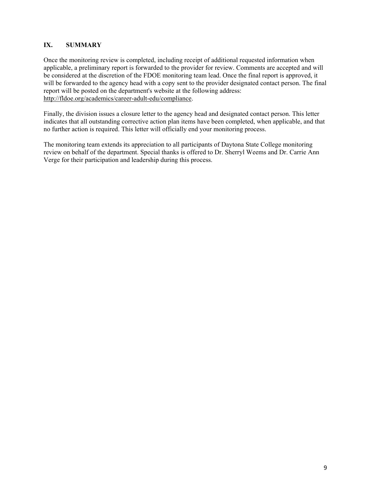# **IX. SUMMARY**

Once the monitoring review is completed, including receipt of additional requested information when applicable, a preliminary report is forwarded to the provider for review. Comments are accepted and will be considered at the discretion of the FDOE monitoring team lead. Once the final report is approved, it will be forwarded to the agency head with a copy sent to the provider designated contact person. The final report will be posted on the department's website at the following address: http://fldoe.org/academics/career-adult-edu/compliance.

Finally, the division issues a closure letter to the agency head and designated contact person. This letter indicates that all outstanding corrective action plan items have been completed, when applicable, and that no further action is required. This letter will officially end your monitoring process.

The monitoring team extends its appreciation to all participants of Daytona State College monitoring review on behalf of the department. Special thanks is offered to Dr. Sherryl Weems and Dr. Carrie Ann Verge for their participation and leadership during this process.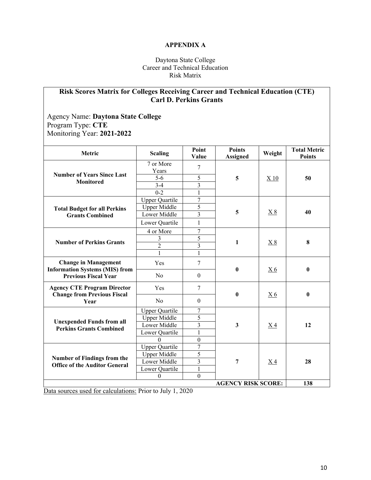# **APPENDIX A**

# Daytona State College Career and Technical Education Risk Matrix

# **Risk Scores Matrix for Colleges Receiving Career and Technical Education (CTE) Carl D. Perkins Grants**

Agency Name: **Daytona State College**  Program Type: **CTE**  Monitoring Year: **2021-2022** 

| Metric                                                                   | <b>Scaling</b>        | Point<br>Value          | <b>Points</b><br><b>Assigned</b> | Weight         | <b>Total Metric</b><br><b>Points</b> |
|--------------------------------------------------------------------------|-----------------------|-------------------------|----------------------------------|----------------|--------------------------------------|
|                                                                          | 7 or More             | $\overline{7}$          | 5                                | X 10           |                                      |
| <b>Number of Years Since Last</b>                                        | Years                 |                         |                                  |                |                                      |
| <b>Monitored</b>                                                         | $5 - 6$               | 5                       |                                  |                | 50                                   |
|                                                                          | $3-4$                 | $\overline{\mathbf{3}}$ |                                  |                |                                      |
|                                                                          | $0 - 2$               | $\mathbf{1}$            |                                  |                |                                      |
|                                                                          | <b>Upper Quartile</b> | $\overline{7}$          | 5                                | <u>X 8</u>     |                                      |
| <b>Total Budget for all Perkins</b>                                      | <b>Upper Middle</b>   | 5                       |                                  |                |                                      |
| <b>Grants Combined</b>                                                   | Lower Middle          | $\overline{3}$          |                                  |                | 40                                   |
|                                                                          | Lower Quartile        | $\mathbf{1}$            |                                  |                |                                      |
|                                                                          | 4 or More             | $\overline{7}$          |                                  | X8             |                                      |
| <b>Number of Perkins Grants</b>                                          | 3                     | $\overline{5}$          | $\mathbf{1}$                     |                |                                      |
|                                                                          | $\overline{2}$        | $\overline{\mathbf{3}}$ |                                  |                | 8                                    |
|                                                                          | $\mathbf{1}$          | $\mathbf{1}$            |                                  |                |                                      |
| <b>Change in Management</b><br><b>Information Systems (MIS) from</b>     | Yes                   | $\overline{7}$          | $\bf{0}$                         | X <sub>6</sub> | $\bf{0}$                             |
| <b>Previous Fiscal Year</b>                                              | No                    | $\theta$                |                                  |                |                                      |
| <b>Agency CTE Program Director</b><br><b>Change from Previous Fiscal</b> | Yes                   | 7                       | $\bf{0}$                         | X <sub>6</sub> | $\mathbf{0}$                         |
| Year                                                                     | No                    | $\theta$                |                                  |                |                                      |
|                                                                          | <b>Upper Quartile</b> | 7                       | 3                                | X <sub>4</sub> |                                      |
|                                                                          | <b>Upper Middle</b>   | $\overline{5}$          |                                  |                | 12                                   |
| <b>Unexpended Funds from all</b><br><b>Perkins Grants Combined</b>       | Lower Middle          | $\overline{3}$          |                                  |                |                                      |
|                                                                          | Lower Quartile        | $\overline{1}$          |                                  |                |                                      |
|                                                                          | $\Omega$              | $\boldsymbol{0}$        |                                  |                |                                      |
|                                                                          | <b>Upper Quartile</b> | $\overline{7}$          | 7                                | <u>X4</u>      |                                      |
| <b>Number of Findings from the</b>                                       | <b>Upper Middle</b>   | $\overline{5}$          |                                  |                | 28                                   |
| <b>Office of the Auditor General</b>                                     | Lower Middle          | $\mathfrak{Z}$          |                                  |                |                                      |
|                                                                          | Lower Quartile        | $\mathbf{1}$            |                                  |                |                                      |
|                                                                          | $\boldsymbol{0}$      | $\theta$                |                                  |                |                                      |
| <b>AGENCY RISK SCORE:</b><br>138                                         |                       |                         |                                  |                |                                      |

Data sources used for calculations: Prior to July 1, 2020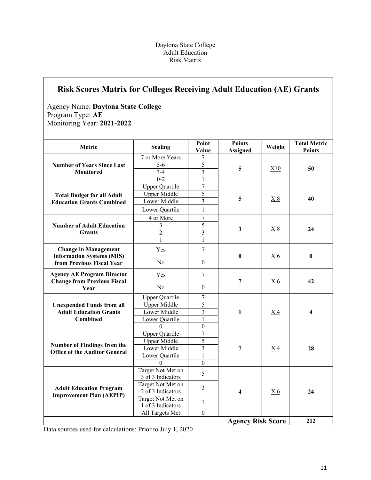# Daytona State College Adult Education Risk Matrix

# **Risk Scores Matrix for Colleges Receiving Adult Education (AE) Grants**

Agency Name: **Daytona State College**  Program Type: **AE**  Monitoring Year: **2021-2022** 

| Metric                                                                  | <b>Scaling</b>                         | Point<br>Value          | <b>Points</b><br><b>Assigned</b> | Weight         | <b>Total Metric</b><br><b>Points</b> |
|-------------------------------------------------------------------------|----------------------------------------|-------------------------|----------------------------------|----------------|--------------------------------------|
|                                                                         | 7 or More Years                        | 7                       | 5                                | X10            |                                      |
| <b>Number of Years Since Last</b>                                       | $5-6$                                  | 5                       |                                  |                | 50                                   |
| <b>Monitored</b>                                                        | $3 - 4$                                | $\overline{3}$          |                                  |                |                                      |
|                                                                         | $0 - 2$                                | $\mathbf{1}$            |                                  |                |                                      |
|                                                                         | <b>Upper Quartile</b>                  | $\overline{7}$          | 5                                | X8             |                                      |
| <b>Total Budget for all Adult</b>                                       | <b>Upper Middle</b>                    | 5                       |                                  |                |                                      |
| <b>Education Grants Combined</b>                                        | Lower Middle                           | $\overline{\mathbf{3}}$ |                                  |                | 40                                   |
|                                                                         | Lower Quartile                         | $\mathbf{1}$            |                                  |                |                                      |
|                                                                         | 4 or More                              | $\overline{7}$          |                                  |                |                                      |
| <b>Number of Adult Education</b>                                        | $\overline{3}$                         | 5                       |                                  |                |                                      |
| <b>Grants</b>                                                           | $\overline{2}$                         | 3                       | 3                                | X8             | 24                                   |
|                                                                         | $\mathbf{1}$                           | $\mathbf{1}$            |                                  |                |                                      |
| <b>Change in Management</b><br><b>Information Systems (MIS)</b>         | Yes                                    | $\overline{7}$          | $\bf{0}$                         | <u>X6</u>      | $\bf{0}$                             |
| from Previous Fiscal Year                                               | No                                     | $\mathbf{0}$            |                                  |                |                                      |
| <b>Agency AE Program Director</b><br><b>Change from Previous Fiscal</b> | Yes                                    | $\overline{7}$          | 7                                | X <sub>6</sub> | 42                                   |
| Year                                                                    | N <sub>o</sub>                         | $\boldsymbol{0}$        |                                  |                |                                      |
|                                                                         | <b>Upper Quartile</b>                  | 7                       |                                  | X <sub>4</sub> | 4                                    |
| <b>Unexpended Funds from all</b>                                        | Upper Middle                           | 5                       | 1                                |                |                                      |
| <b>Adult Education Grants</b>                                           | Lower Middle                           | $\overline{\mathbf{3}}$ |                                  |                |                                      |
| <b>Combined</b>                                                         | Lower Quartile                         | $\mathbf{1}$            |                                  |                |                                      |
|                                                                         | $\Omega$                               | $\overline{0}$          |                                  |                |                                      |
|                                                                         | <b>Upper Quartile</b>                  | $\overline{7}$          | 7                                | X <sub>4</sub> |                                      |
| <b>Number of Findings from the</b>                                      | <b>Upper Middle</b>                    | 5                       |                                  |                | 28                                   |
| <b>Office of the Auditor General</b>                                    | Lower Middle                           | $\overline{\mathbf{3}}$ |                                  |                |                                      |
|                                                                         | Lower Quartile                         | $\mathbf{1}$            |                                  |                |                                      |
|                                                                         | $\Omega$                               | $\boldsymbol{0}$        |                                  |                |                                      |
|                                                                         | Target Not Met on<br>3 of 3 Indicators | 5                       |                                  |                |                                      |
| <b>Adult Education Program</b><br><b>Improvement Plan (AEPIP)</b>       | Target Not Met on<br>2 of 3 Indicators | $\overline{3}$          | 4                                | X <sub>6</sub> | 24                                   |
|                                                                         | Target Not Met on<br>1 of 3 Indicators | $\mathbf{1}$            |                                  |                |                                      |
|                                                                         | All Targets Met                        | $\mathbf{0}$            |                                  |                |                                      |
| <b>Agency Risk Score</b>                                                |                                        |                         |                                  |                | 212                                  |

Data sources used for calculations: Prior to July 1, 2020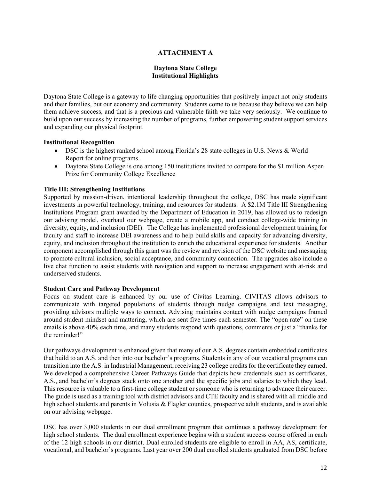## **ATTACHMENT A**

## **Daytona State College Institutional Highlights**

 Daytona State College is a gateway to life changing opportunities that positively impact not only students and their families, but our economy and community. Students come to us because they believe we can help them achieve success, and that is a precious and vulnerable faith we take very seriously. We continue to build upon our success by increasing the number of programs, further empowering student support services and expanding our physical footprint.

### **Institutional Recognition**

- DSC is the highest ranked school among Florida's 28 state colleges in U.S. News & World Report for online programs.
- Daytona State College is one among 150 institutions invited to compete for the \$1 million Aspen Prize for Community College Excellence

### **Title III: Strengthening Institutions**

 investments in powerful technology, training, and resources for students. A \$2.1M Title III Strengthening to promote cultural inclusion, social acceptance, and community connection. The upgrades also include a Supported by mission-driven, intentional leadership throughout the college, DSC has made significant Institutions Program grant awarded by the Department of Education in 2019, has allowed us to redesign our advising model, overhaul our webpage, create a mobile app, and conduct college-wide training in diversity, equity, and inclusion (DEI). The College has implemented professional development training for faculty and staff to increase DEI awareness and to help build skills and capacity for advancing diversity, equity, and inclusion throughout the institution to enrich the educational experience for students. Another component accomplished through this grant was the review and revision of the DSC website and messaging live chat function to assist students with navigation and support to increase engagement with at-risk and underserved students.

#### **Student Care and Pathway Development**

Focus on student care is enhanced by our use of Civitas Learning. CIVITAS allows advisors to communicate with targeted populations of students through nudge campaigns and text messaging, providing advisors multiple ways to connect. Advising maintains contact with nudge campaigns framed around student mindset and mattering, which are sent five times each semester. The "open rate" on these emails is above 40% each time, and many students respond with questions, comments or just a "thanks for the reminder!"

 Our pathways development is enhanced given that many of our A.S. degrees contain embedded certificates that build to an A.S. and then into our bachelor's programs. Students in any of our vocational programs can A.S., and bachelor's degrees stack onto one another and the specific jobs and salaries to which they lead. The guide is used as a training tool with district advisors and CTE faculty and is shared with all middle and transition into the A.S. in Industrial Management, receiving 23 college credits for the certificate they earned. We developed a comprehensive Career Pathways Guide that depicts how credentials such as certificates, This resource is valuable to a first-time college student or someone who is returning to advance their career. high school students and parents in Volusia & Flagler counties, prospective adult students, and is available on our advising webpage.

DSC has over 3,000 students in our dual enrollment program that continues a pathway development for high school students. The dual enrollment experience begins with a student success course offered in each of the 12 high schools in our district. Dual enrolled students are eligible to enroll in AA, AS, certificate, vocational, and bachelor's programs. Last year over 200 dual enrolled students graduated from DSC before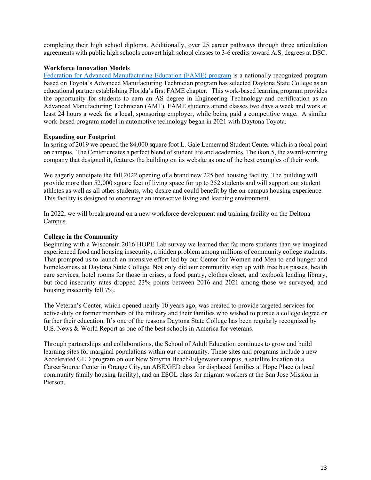agreements with public high schools convert high school classes to 3-6 credits toward A.S. degrees at DSC. completing their high school diploma. Additionally, over 25 career pathways through three articulation

# **Workforce Innovation Models**

 educational partner establishing Florida's first FAME chapter. This work-based learning program provides Advanced Manufacturing Technician (AMT). FAME students attend classes two days a week and work at least 24 hours a week for a local, sponsoring employer, while being paid a competitive wage. A similar Federation for Advanced Manufacturing Education (FAME) program is a nationally recognized program based on Toyota's Advanced Manufacturing Technician program has selected Daytona State College as an the opportunity for students to earn an AS degree in Engineering Technology and certification as an work-based program model in automotive technology began in 2021 with Daytona Toyota.

# **Expanding our Footprint**

 In spring of 2019 we opened the 84,000 square foot L. Gale Lemerand Student Center which is a focal point on campus. The Center creates a perfect blend of student life and academics. The ikon.5, the award-winning company that designed it, features the building on its website as one of the best examples of their work.

We eagerly anticipate the fall 2022 opening of a brand new 225 bed housing facility. The building will provide more than 52,000 square feet of living space for up to 252 students and will support our student athletes as well as all other students, who desire and could benefit by the on-campus housing experience. This facility is designed to encourage an interactive living and learning environment.

In 2022, we will break ground on a new workforce development and training facility on the Deltona Campus.

# **College in the Community**

Beginning with a Wisconsin 2016 HOPE Lab survey we learned that far more students than we imagined experienced food and housing insecurity, a hidden problem among millions of community college students. That prompted us to launch an intensive effort led by our Center for Women and Men to end hunger and homelessness at Daytona State College. Not only did our community step up with free bus passes, health care services, hotel rooms for those in crises, a food pantry, clothes closet, and textbook lending library, but food insecurity rates dropped 23% points between 2016 and 2021 among those we surveyed, and housing insecurity fell 7%.

The Veteran's Center, which opened nearly 10 years ago, was created to provide targeted services for active-duty or former members of the military and their families who wished to pursue a college degree or further their education. It's one of the reasons Daytona State College has been regularly recognized by U.S. News & World Report as one of the best schools in America for veterans.

Through partnerships and collaborations, the School of Adult Education continues to grow and build learning sites for marginal populations within our community. These sites and programs include a new Accelerated GED program on our New Smyrna Beach/Edgewater campus, a satellite location at a CareerSource Center in Orange City, an ABE/GED class for displaced families at Hope Place (a local community family housing facility), and an ESOL class for migrant workers at the San Jose Mission in Pierson.